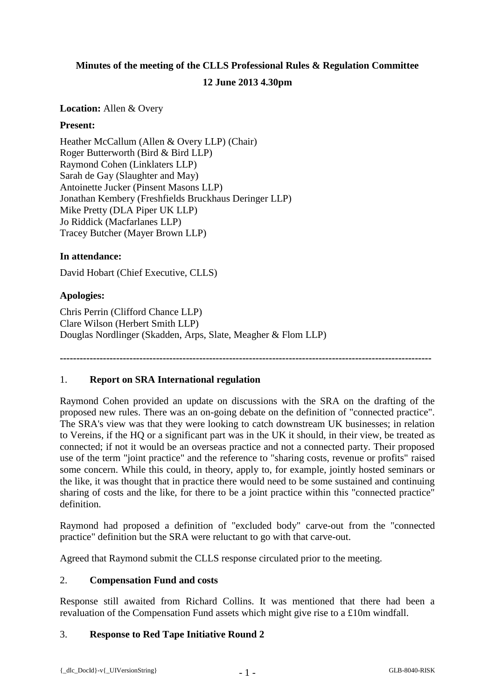# **Minutes of the meeting of the CLLS Professional Rules & Regulation Committee 12 June 2013 4.30pm**

**Location:** Allen & Overy

## **Present:**

Heather McCallum (Allen & Overy LLP) (Chair) Roger Butterworth (Bird & Bird LLP) Raymond Cohen (Linklaters LLP) Sarah de Gay (Slaughter and May) Antoinette Jucker (Pinsent Masons LLP) Jonathan Kembery (Freshfields Bruckhaus Deringer LLP) Mike Pretty (DLA Piper UK LLP) Jo Riddick (Macfarlanes LLP) Tracey Butcher (Mayer Brown LLP)

## **In attendance:**

David Hobart (Chief Executive, CLLS)

## **Apologies:**

Chris Perrin (Clifford Chance LLP) Clare Wilson (Herbert Smith LLP) Douglas Nordlinger (Skadden, Arps, Slate, Meagher & Flom LLP)

**----------------------------------------------------------------------------------------------------------------**

#### 1. **Report on SRA International regulation**

Raymond Cohen provided an update on discussions with the SRA on the drafting of the proposed new rules. There was an on-going debate on the definition of "connected practice". The SRA's view was that they were looking to catch downstream UK businesses; in relation to Vereins, if the HQ or a significant part was in the UK it should, in their view, be treated as connected; if not it would be an overseas practice and not a connected party. Their proposed use of the term "joint practice" and the reference to "sharing costs, revenue or profits" raised some concern. While this could, in theory, apply to, for example, jointly hosted seminars or the like, it was thought that in practice there would need to be some sustained and continuing sharing of costs and the like, for there to be a joint practice within this "connected practice" definition.

Raymond had proposed a definition of "excluded body" carve-out from the "connected practice" definition but the SRA were reluctant to go with that carve-out.

Agreed that Raymond submit the CLLS response circulated prior to the meeting.

#### 2. **Compensation Fund and costs**

Response still awaited from Richard Collins. It was mentioned that there had been a revaluation of the Compensation Fund assets which might give rise to a £10m windfall.

#### 3. **Response to Red Tape Initiative Round 2**